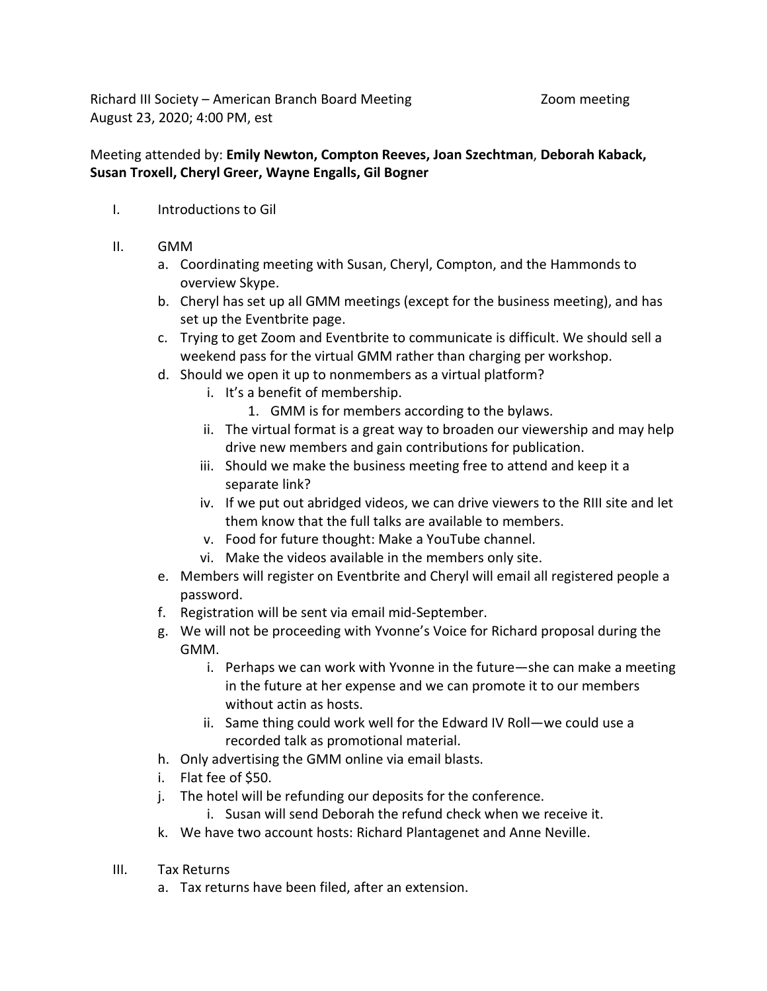Richard III Society – American Branch Board Meeting Theorem 2000 meeting August 23, 2020; 4:00 PM, est

## Meeting attended by: **Emily Newton, Compton Reeves, Joan Szechtman**, **Deborah Kaback, Susan Troxell, Cheryl Greer, Wayne Engalls, Gil Bogner**

- I. Introductions to Gil
- II. GMM
	- a. Coordinating meeting with Susan, Cheryl, Compton, and the Hammonds to overview Skype.
	- b. Cheryl has set up all GMM meetings (except for the business meeting), and has set up the Eventbrite page.
	- c. Trying to get Zoom and Eventbrite to communicate is difficult. We should sell a weekend pass for the virtual GMM rather than charging per workshop.
	- d. Should we open it up to nonmembers as a virtual platform?
		- i. It's a benefit of membership.
			- 1. GMM is for members according to the bylaws.
		- ii. The virtual format is a great way to broaden our viewership and may help drive new members and gain contributions for publication.
		- iii. Should we make the business meeting free to attend and keep it a separate link?
		- iv. If we put out abridged videos, we can drive viewers to the RIII site and let them know that the full talks are available to members.
		- v. Food for future thought: Make a YouTube channel.
		- vi. Make the videos available in the members only site.
	- e. Members will register on Eventbrite and Cheryl will email all registered people a password.
	- f. Registration will be sent via email mid-September.
	- g. We will not be proceeding with Yvonne's Voice for Richard proposal during the GMM.
		- i. Perhaps we can work with Yvonne in the future—she can make a meeting in the future at her expense and we can promote it to our members without actin as hosts.
		- ii. Same thing could work well for the Edward IV Roll—we could use a recorded talk as promotional material.
	- h. Only advertising the GMM online via email blasts.
	- i. Flat fee of \$50.
	- j. The hotel will be refunding our deposits for the conference.
		- i. Susan will send Deborah the refund check when we receive it.
	- k. We have two account hosts: Richard Plantagenet and Anne Neville.
- III. Tax Returns
	- a. Tax returns have been filed, after an extension.